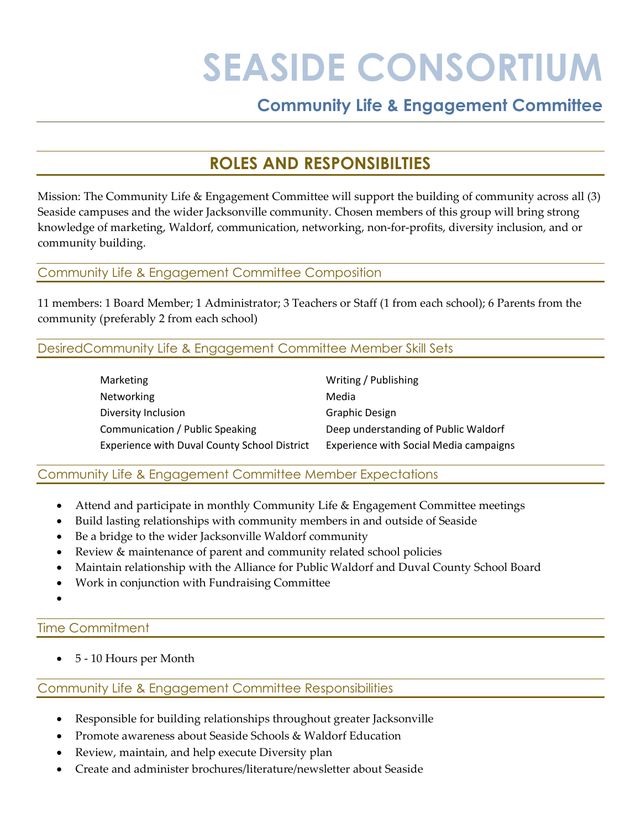# **SEASIDE CONSORTIUM**

## **Community Life & Engagement Committee**

### **ROLES AND RESPONSIBILTIES**

Mission: The Community Life & Engagement Committee will support the building of community across all (3) Seaside campuses and the wider Jacksonville community. Chosen members of this group will bring strong knowledge of marketing, Waldorf, communication, networking, non-for-profits, diversity inclusion, and or community building.

#### Community Life & Engagement Committee Composition

11 members: 1 Board Member; 1 Administrator; 3 Teachers or Staff (1 from each school); 6 Parents from the community (preferably 2 from each school)

#### DesiredCommunity Life & Engagement Committee Member Skill Sets

| Marketing                                           | Writing / Publishing                   |
|-----------------------------------------------------|----------------------------------------|
| Networking                                          | Media                                  |
| Diversity Inclusion                                 | <b>Graphic Design</b>                  |
| Communication / Public Speaking                     | Deep understanding of Public Waldorf   |
| <b>Experience with Duval County School District</b> | Experience with Social Media campaigns |

#### Community Life & Engagement Committee Member Expectations

- Attend and participate in monthly Community Life & Engagement Committee meetings
- Build lasting relationships with community members in and outside of Seaside
- Be a bridge to the wider Jacksonville Waldorf community
- Review & maintenance of parent and community related school policies
- Maintain relationship with the Alliance for Public Waldorf and Duval County School Board
- Work in conjunction with Fundraising Committee
- •

#### Time Commitment

• 5 - 10 Hours per Month

#### Community Life & Engagement Committee Responsibilities

- Responsible for building relationships throughout greater Jacksonville
- Promote awareness about Seaside Schools & Waldorf Education
- Review, maintain, and help execute Diversity plan
- Create and administer brochures/literature/newsletter about Seaside